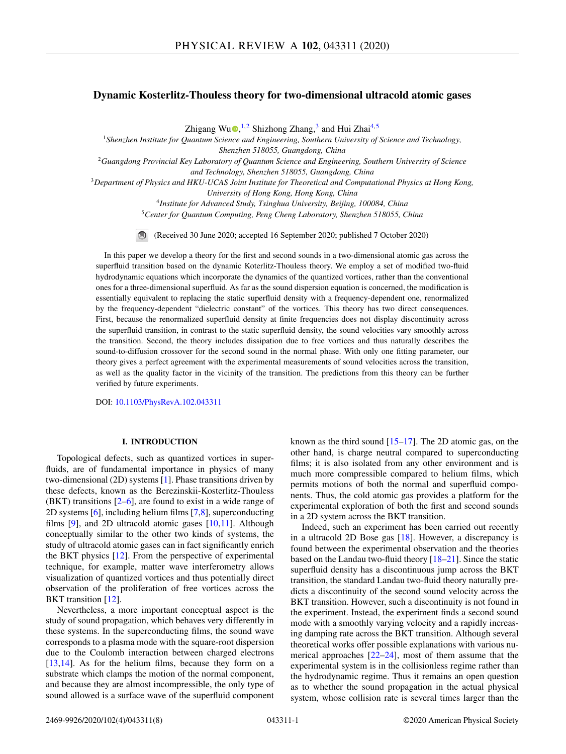# **Dynamic Kosterlitz-Thouless theory for two-dimensional ultracold atomic gases**

Zhigang W[u](https://orcid.org/0000-0002-7726-9564)<sup>n,1,2</sup> Shizhong Zhang,<sup>3</sup> and Hui Zhai<sup>4,5</sup>

*Shenzhen Institute for Quantum Science and Engineering, Southern University of Science and Technology, Shenzhen 518055, Guangdong, China Guangdong Provincial Key Laboratory of Quantum Science and Engineering, Southern University of Science and Technology, Shenzhen 518055, Guangdong, China Department of Physics and HKU-UCAS Joint Institute for Theoretical and Computational Physics at Hong Kong, University of Hong Kong, Hong Kong, China Institute for Advanced Study, Tsinghua University, Beijing, 100084, China Center for Quantum Computing, Peng Cheng Laboratory, Shenzhen 518055, China*

(Received 30 June 2020; accepted 16 September 2020; published 7 October 2020)

In this paper we develop a theory for the first and second sounds in a two-dimensional atomic gas across the superfluid transition based on the dynamic Koterlitz-Thouless theory. We employ a set of modified two-fluid hydrodynamic equations which incorporate the dynamics of the quantized vortices, rather than the conventional ones for a three-dimensional superfluid. As far as the sound dispersion equation is concerned, the modification is essentially equivalent to replacing the static superfluid density with a frequency-dependent one, renormalized by the frequency-dependent "dielectric constant" of the vortices. This theory has two direct consequences. First, because the renormalized superfluid density at finite frequencies does not display discontinuity across the superfluid transition, in contrast to the static superfluid density, the sound velocities vary smoothly across the transition. Second, the theory includes dissipation due to free vortices and thus naturally describes the sound-to-diffusion crossover for the second sound in the normal phase. With only one fitting parameter, our theory gives a perfect agreement with the experimental measurements of sound velocities across the transition, as well as the quality factor in the vicinity of the transition. The predictions from this theory can be further verified by future experiments.

DOI: [10.1103/PhysRevA.102.043311](https://doi.org/10.1103/PhysRevA.102.043311)

## **I. INTRODUCTION**

Topological defects, such as quantized vortices in superfluids, are of fundamental importance in physics of many two-dimensional (2D) systems [\[1\]](#page-7-0). Phase transitions driven by these defects, known as the Berezinskii-Kosterlitz-Thouless (BKT) transitions [\[2–6\]](#page-7-0), are found to exist in a wide range of 2D systems [\[6\]](#page-7-0), including helium films [\[7,8\]](#page-7-0), superconducting films [\[9\]](#page-7-0), and 2D ultracold atomic gases [\[10,11\]](#page-7-0). Although conceptually similar to the other two kinds of systems, the study of ultracold atomic gases can in fact significantly enrich the BKT physics [\[12\]](#page-7-0). From the perspective of experimental technique, for example, matter wave interferometry allows visualization of quantized vortices and thus potentially direct observation of the proliferation of free vortices across the BKT transition [\[12\]](#page-7-0).

Nevertheless, a more important conceptual aspect is the study of sound propagation, which behaves very differently in these systems. In the superconducting films, the sound wave corresponds to a plasma mode with the square-root dispersion due to the Coulomb interaction between charged electrons [\[13,14\]](#page-7-0). As for the helium films, because they form on a substrate which clamps the motion of the normal component, and because they are almost incompressible, the only type of sound allowed is a surface wave of the superfluid component

known as the third sound  $[15-17]$ . The 2D atomic gas, on the other hand, is charge neutral compared to superconducting films; it is also isolated from any other environment and is much more compressible compared to helium films, which permits motions of both the normal and superfluid components. Thus, the cold atomic gas provides a platform for the experimental exploration of both the first and second sounds in a 2D system across the BKT transition.

Indeed, such an experiment has been carried out recently in a ultracold 2D Bose gas [\[18\]](#page-7-0). However, a discrepancy is found between the experimental observation and the theories based on the Landau two-fluid theory [\[18–21\]](#page-7-0). Since the static superfluid density has a discontinuous jump across the BKT transition, the standard Landau two-fluid theory naturally predicts a discontinuity of the second sound velocity across the BKT transition. However, such a discontinuity is not found in the experiment. Instead, the experiment finds a second sound mode with a smoothly varying velocity and a rapidly increasing damping rate across the BKT transition. Although several theoretical works offer possible explanations with various numerical approaches  $[22-24]$ , most of them assume that the experimental system is in the collisionless regime rather than the hydrodynamic regime. Thus it remains an open question as to whether the sound propagation in the actual physical system, whose collision rate is several times larger than the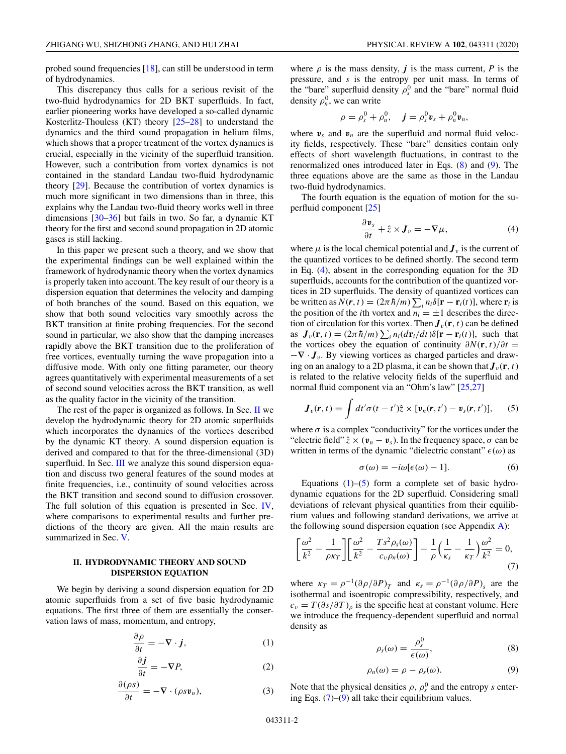<span id="page-1-0"></span>probed sound frequencies [\[18\]](#page-7-0), can still be understood in term of hydrodynamics.

This discrepancy thus calls for a serious revisit of the two-fluid hydrodynamics for 2D BKT superfluids. In fact, earlier pioneering works have developed a so-called dynamic Kosterlitz-Thouless (KT) theory  $[25-28]$  to understand the dynamics and the third sound propagation in helium films, which shows that a proper treatment of the vortex dynamics is crucial, especially in the vicinity of the superfluid transition. However, such a contribution from vortex dynamics is not contained in the standard Landau two-fluid hydrodynamic theory [\[29\]](#page-7-0). Because the contribution of vortex dynamics is much more significant in two dimensions than in three, this explains why the Landau two-fluid theory works well in three dimensions [\[30–36\]](#page-7-0) but fails in two. So far, a dynamic KT theory for the first and second sound propagation in 2D atomic gases is still lacking.

In this paper we present such a theory, and we show that the experimental findings can be well explained within the framework of hydrodynamic theory when the vortex dynamics is properly taken into account. The key result of our theory is a dispersion equation that determines the velocity and damping of both branches of the sound. Based on this equation, we show that both sound velocities vary smoothly across the BKT transition at finite probing frequencies. For the second sound in particular, we also show that the damping increases rapidly above the BKT transition due to the proliferation of free vortices, eventually turning the wave propagation into a diffusive mode. With only one fitting parameter, our theory agrees quantitatively with experimental measurements of a set of second sound velocities across the BKT transition, as well as the quality factor in the vicinity of the transition.

The rest of the paper is organized as follows. In Sec. II we develop the hydrodynamic theory for 2D atomic superfluids which incorporates the dynamics of the vortices described by the dynamic KT theory. A sound dispersion equation is derived and compared to that for the three-dimensional (3D) superfluid. In Sec. [III](#page-2-0) we analyze this sound dispersion equation and discuss two general features of the sound modes at finite frequencies, i.e., continuity of sound velocities across the BKT transition and second sound to diffusion crossover. The full solution of this equation is presented in Sec. [IV,](#page-3-0) where comparisons to experimental results and further predictions of the theory are given. All the main results are summarized in Sec. [V.](#page-4-0)

## **II. HYDRODYNAMIC THEORY AND SOUND DISPERSION EQUATION**

We begin by deriving a sound dispersion equation for 2D atomic superfluids from a set of five basic hydrodynamic equations. The first three of them are essentially the conservation laws of mass, momentum, and entropy,

$$
\frac{\partial \rho}{\partial t} = -\nabla \cdot \boldsymbol{j},\qquad(1)
$$

$$
\frac{\partial \boldsymbol{j}}{\partial t} = -\nabla P,\tag{2}
$$

$$
\frac{\partial(\rho s)}{\partial t} = -\nabla \cdot (\rho s \mathbf{v}_n),\tag{3}
$$

where  $\rho$  is the mass density,  $\boldsymbol{j}$  is the mass current,  $\boldsymbol{P}$  is the pressure, and *s* is the entropy per unit mass. In terms of the "bare" superfluid density  $\rho_s^0$  and the "bare" normal fluid density  $\rho_n^0$ , we can write

$$
\rho = \rho_s^0 + \rho_n^0, \quad \mathbf{j} = \rho_s^0 \mathbf{v}_s + \rho_n^0 \mathbf{v}_n,
$$

where  $v_s$  and  $v_n$  are the superfluid and normal fluid velocity fields, respectively. These "bare" densities contain only effects of short wavelength fluctuations, in contrast to the renormalized ones introduced later in Eqs. (8) and (9). The three equations above are the same as those in the Landau two-fluid hydrodynamics.

The fourth equation is the equation of motion for the superfluid component [\[25\]](#page-7-0)

$$
\frac{\partial \mathbf{v}_s}{\partial t} + \hat{z} \times \mathbf{J}_v = -\nabla \mu,\tag{4}
$$

where  $\mu$  is the local chemical potential and  $J_\nu$  is the current of the quantized vortices to be defined shortly. The second term in Eq. (4), absent in the corresponding equation for the 3D superfluids, accounts for the contribution of the quantized vortices in 2D superfluids. The density of quantized vortices can be written as  $N(\mathbf{r}, t) = (2\pi \hbar/m) \sum_i n_i \delta[\mathbf{r} - \mathbf{r}_i(t)]$ , where  $\mathbf{r}_i$  is the position of the *i*th vortex and  $n_i = \pm 1$  describes the direction of circulation for this vortex. Then  $J_\nu(\mathbf{r},t)$  can be defined as  $J_v(\mathbf{r}, t) = (2\pi \hbar/m) \sum_i n_i (d\mathbf{r}_i/dt) \delta[\mathbf{r} - \mathbf{r}_i(t)]$ , such that the vortices obey the equation of continuity  $\partial N(\mathbf{r}, t)/\partial t =$ −**∇** · *Jv*. By viewing vortices as charged particles and drawing on an analogy to a 2D plasma, it can be shown that  $J_\nu(\mathbf{r}, t)$ is related to the relative velocity fields of the superfluid and normal fluid component via an "Ohm's law" [\[25,27\]](#page-7-0)

$$
\boldsymbol{J}_{v}(\boldsymbol{r},t)=\int dt' \sigma(t-t')\hat{z}\times[\boldsymbol{v}_{n}(\boldsymbol{r},t')-\boldsymbol{v}_{s}(\boldsymbol{r},t')],\qquad(5)
$$

where  $\sigma$  is a complex "conductivity" for the vortices under the "electric field"  $\hat{z} \times (\mathbf{v}_n - \mathbf{v}_s)$ . In the frequency space,  $\sigma$  can be written in terms of the dynamic "dielectric constant"  $\epsilon(\omega)$  as

$$
\sigma(\omega) = -i\omega[\epsilon(\omega) - 1].\tag{6}
$$

Equations  $(1)$ – $(5)$  form a complete set of basic hydrodynamic equations for the 2D superfluid. Considering small deviations of relevant physical quantities from their equilibrium values and following standard derivations, we arrive at the following sound dispersion equation (see Appendix [A\)](#page-5-0):

$$
\left[\frac{\omega^2}{k^2} - \frac{1}{\rho \kappa_T}\right] \left[\frac{\omega^2}{k^2} - \frac{T s^2 \rho_s(\omega)}{c_v \rho_n(\omega)}\right] - \frac{1}{\rho} \left(\frac{1}{\kappa_s} - \frac{1}{\kappa_T}\right) \frac{\omega^2}{k^2} = 0,
$$
\n(7)

where  $\kappa_T = \rho^{-1}(\partial \rho/\partial P)_T$  and  $\kappa_s = \rho^{-1}(\partial \rho/\partial P)_s$  are the isothermal and isoentropic compressibility, respectively, and  $c_v = T(\partial s/\partial T)_\rho$  is the specific heat at constant volume. Here we introduce the frequency-dependent superfluid and normal density as

$$
\rho_s(\omega) = \frac{\rho_s^0}{\epsilon(\omega)},\tag{8}
$$

$$
\rho_n(\omega) = \rho - \rho_s(\omega). \tag{9}
$$

Note that the physical densities  $\rho$ ,  $\rho_s^0$  and the entropy *s* entering Eqs.  $(7)$ – $(9)$  all take their equilibrium values.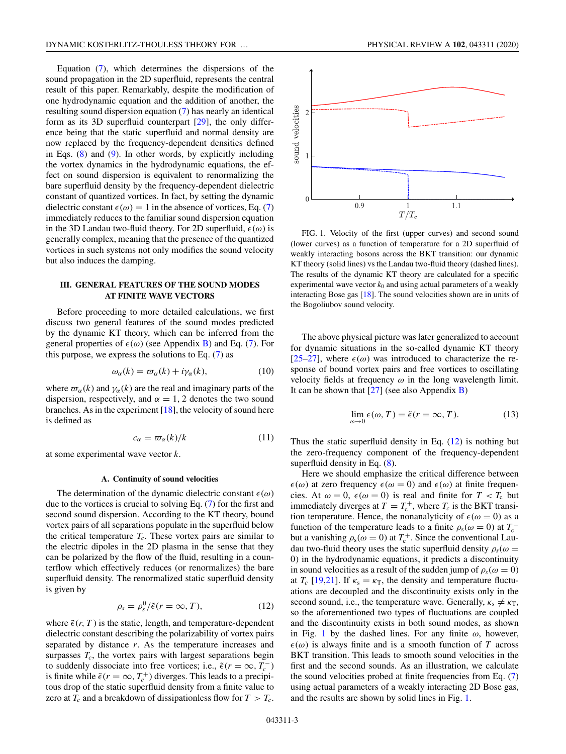<span id="page-2-0"></span>Equation [\(7\)](#page-1-0), which determines the dispersions of the sound propagation in the 2D superfluid, represents the central result of this paper. Remarkably, despite the modification of one hydrodynamic equation and the addition of another, the resulting sound dispersion equation [\(7\)](#page-1-0) has nearly an identical form as its 3D superfluid counterpart [\[29\]](#page-7-0), the only difference being that the static superfluid and normal density are now replaced by the frequency-dependent densities defined in Eqs.  $(8)$  and  $(9)$ . In other words, by explicitly including the vortex dynamics in the hydrodynamic equations, the effect on sound dispersion is equivalent to renormalizing the bare superfluid density by the frequency-dependent dielectric constant of quantized vortices. In fact, by setting the dynamic dielectric constant  $\epsilon(\omega) = 1$  in the absence of vortices, Eq. [\(7\)](#page-1-0) immediately reduces to the familiar sound dispersion equation in the 3D Landau two-fluid theory. For 2D superfluid,  $\epsilon(\omega)$  is generally complex, meaning that the presence of the quantized vortices in such systems not only modifies the sound velocity but also induces the damping.

# **III. GENERAL FEATURES OF THE SOUND MODES AT FINITE WAVE VECTORS**

Before proceeding to more detailed calculations, we first discuss two general features of the sound modes predicted by the dynamic KT theory, which can be inferred from the general properties of  $\epsilon(\omega)$  (see Appendix [B\)](#page-5-0) and Eq. [\(7\)](#page-1-0). For this purpose, we express the solutions to Eq.  $(7)$  as

$$
\omega_{\alpha}(k) = \varpi_{\alpha}(k) + i\gamma_{\alpha}(k),\tag{10}
$$

where  $\varpi_{\alpha}(k)$  and  $\gamma_{\alpha}(k)$  are the real and imaginary parts of the dispersion, respectively, and  $\alpha = 1, 2$  denotes the two sound branches. As in the experiment  $[18]$ , the velocity of sound here is defined as

$$
c_{\alpha} = \varpi_{\alpha}(k)/k \tag{11}
$$

at some experimental wave vector *k*.

### **A. Continuity of sound velocities**

The determination of the dynamic dielectric constant  $\epsilon(\omega)$ due to the vortices is crucial to solving Eq. [\(7\)](#page-1-0) for the first and second sound dispersion. According to the KT theory, bound vortex pairs of all separations populate in the superfluid below the critical temperature  $T_c$ . These vortex pairs are similar to the electric dipoles in the 2D plasma in the sense that they can be polarized by the flow of the fluid, resulting in a counterflow which effectively reduces (or renormalizes) the bare superfluid density. The renormalized static superfluid density is given by

$$
\rho_s = \rho_s^0 / \tilde{\epsilon}(r = \infty, T), \qquad (12)
$$

where  $\tilde{\epsilon}(r, T)$  is the static, length, and temperature-dependent dielectric constant describing the polarizability of vortex pairs separated by distance *r*. As the temperature increases and surpasses  $T_c$ , the vortex pairs with largest separations begin to suddenly dissociate into free vortices; i.e.,  $\tilde{\epsilon}(r = \infty, T_c^-)$ is finite while  $\tilde{\epsilon}(r = \infty, T_c^+)$  diverges. This leads to a precipitous drop of the static superfluid density from a finite value to zero at  $T_c$  and a breakdown of dissipationless flow for  $T > T_c$ .



FIG. 1. Velocity of the first (upper curves) and second sound (lower curves) as a function of temperature for a 2D superfluid of weakly interacting bosons across the BKT transition: our dynamic KT theory (solid lines) vs the Landau two-fluid theory (dashed lines). The results of the dynamic KT theory are calculated for a specific experimental wave vector  $k_0$  and using actual parameters of a weakly interacting Bose gas [\[18\]](#page-7-0). The sound velocities shown are in units of the Bogoliubov sound velocity.

The above physical picture was later generalized to account for dynamic situations in the so-called dynamic KT theory [\[25–27\]](#page-7-0), where  $\epsilon(\omega)$  was introduced to characterize the response of bound vortex pairs and free vortices to oscillating velocity fields at frequency  $\omega$  in the long wavelength limit. It can be shown that  $[27]$  (see also Appendix [B\)](#page-5-0)

$$
\lim_{\omega \to 0} \epsilon(\omega, T) = \tilde{\epsilon}(r = \infty, T). \tag{13}
$$

Thus the static superfluid density in Eq.  $(12)$  is nothing but the zero-frequency component of the frequency-dependent superfluid density in Eq.  $(8)$ .

Here we should emphasize the critical difference between  $\epsilon(\omega)$  at zero frequency  $\epsilon(\omega = 0)$  and  $\epsilon(\omega)$  at finite frequencies. At  $\omega = 0$ ,  $\epsilon(\omega = 0)$  is real and finite for  $T < T_c$  but immediately diverges at  $T = T_c^+$ , where  $T_c$  is the BKT transition temperature. Hence, the nonanalyticity of  $\epsilon(\omega = 0)$  as a function of the temperature leads to a finite  $\rho_s(\omega = 0)$  at  $T_c^$ but a vanishing  $\rho_s(\omega = 0)$  at  $T_c^+$ . Since the conventional Laudau two-fluid theory uses the static superfluid density  $\rho_s(\omega =$ 0) in the hydrodynamic equations, it predicts a discontinuity in sound velocities as a result of the sudden jump of  $\rho_s(\omega = 0)$ at  $T_c$  [\[19,21\]](#page-7-0). If  $\kappa_s = \kappa_T$ , the density and temperature fluctuations are decoupled and the discontinuity exists only in the second sound, i.e., the temperature wave. Generally,  $\kappa_s \neq \kappa_T$ , so the aforementioned two types of fluctuations are coupled and the discontinuity exists in both sound modes, as shown in Fig. 1 by the dashed lines. For any finite  $\omega$ , however,  $\epsilon(\omega)$  is always finite and is a smooth function of *T* across BKT transition. This leads to smooth sound velocities in the first and the second sounds. As an illustration, we calculate the sound velocities probed at finite frequencies from Eq. [\(7\)](#page-1-0) using actual parameters of a weakly interacting 2D Bose gas, and the results are shown by solid lines in Fig. 1.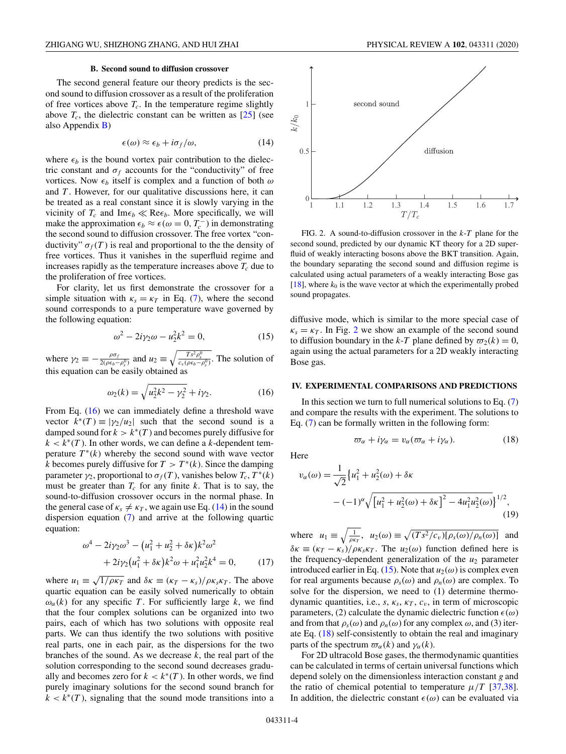### **B. Second sound to diffusion crossover**

<span id="page-3-0"></span>The second general feature our theory predicts is the second sound to diffusion crossover as a result of the proliferation of free vortices above  $T_c$ . In the temperature regime slightly above  $T_c$ , the dielectric constant can be written as  $[25]$  (see also Appendix [B\)](#page-5-0)

$$
\epsilon(\omega) \approx \epsilon_b + i\sigma_f/\omega, \qquad (14)
$$

where  $\epsilon_b$  is the bound vortex pair contribution to the dielectric constant and  $\sigma_f$  accounts for the "conductivity" of free vortices. Now  $\epsilon_b$  itself is complex and a function of both  $\omega$ and *T* . However, for our qualitative discussions here, it can be treated as a real constant since it is slowly varying in the vicinity of  $T_c$  and Im $\epsilon_b \ll \text{Re} \epsilon_b$ . More specifically, we will make the approximation  $\epsilon_b \approx \epsilon(\omega = 0, T_c^-)$  in demonstrating the second sound to diffusion crossover. The free vortex "conductivity"  $\sigma_f(T)$  is real and proportional to the the density of free vortices. Thus it vanishes in the superfluid regime and increases rapidly as the temperature increases above  $T_c$  due to the proliferation of free vortices.

For clarity, let us first demonstrate the crossover for a simple situation with  $\kappa_s = \kappa_T$  in Eq. [\(7\)](#page-1-0), where the second sound corresponds to a pure temperature wave governed by the following equation:

$$
\omega^2 - 2i\gamma_2 \omega - u_2^2 k^2 = 0,\tag{15}
$$

where  $\gamma_2 \equiv -\frac{\rho \sigma_f}{2(\rho \epsilon_b - \rho_s^0)}$  and  $u_2 \equiv \sqrt{\frac{T s^2 \rho_s^0}{c_v (\rho \epsilon_b - \rho_s^0)}}$ . The solution of this equation can be easily obtained as

$$
\omega_2(k) = \sqrt{u_2^2 k^2 - \gamma_2^2} + i \gamma_2.
$$
 (16)

From Eq. (16) we can immediately define a threshold wave vector  $k^*(T) \equiv |\gamma_2/u_2|$  such that the second sound is a damped sound for  $k > k^*(T)$  and becomes purely diffusive for  $k < k^*(T)$ . In other words, we can define a *k*-dependent temperature  $T^*(k)$  whereby the second sound with wave vector *k* becomes purely diffusive for  $T > T^*(k)$ . Since the damping parameter  $\gamma_2$ , proportional to  $\sigma_f(T)$ , vanishes below  $T_c$ ,  $T^*(k)$ must be greater than  $T_c$  for any finite  $k$ . That is to say, the sound-to-diffusion crossover occurs in the normal phase. In the general case of  $\kappa_s \neq \kappa_T$ , we again use Eq. (14) in the sound dispersion equation [\(7\)](#page-1-0) and arrive at the following quartic equation:

$$
\omega^4 - 2i\gamma_2\omega^3 - (u_1^2 + u_2^2 + \delta\kappa)k^2\omega^2 + 2i\gamma_2(u_1^2 + \delta\kappa)k^2\omega + u_1^2u_2^2k^4 = 0,
$$
 (17)

where  $u_1 \equiv \sqrt{1/\rho \kappa_T}$  and  $\delta \kappa \equiv (\kappa_T - \kappa_s)/\rho \kappa_s \kappa_T$ . The above quartic equation can be easily solved numerically to obtain  $\omega_{\alpha}(k)$  for any specific *T*. For sufficiently large *k*, we find that the four complex solutions can be organized into two pairs, each of which has two solutions with opposite real parts. We can thus identify the two solutions with positive real parts, one in each pair, as the dispersions for the two branches of the sound. As we decrease *k*, the real part of the solution corresponding to the second sound decreases gradually and becomes zero for  $k < k^*(T)$ . In other words, we find purely imaginary solutions for the second sound branch for  $k < k^*(T)$ , signaling that the sound mode transitions into a



FIG. 2. A sound-to-diffusion crossover in the *k*-*T* plane for the second sound, predicted by our dynamic KT theory for a 2D superfluid of weakly interacting bosons above the BKT transition. Again, the boundary separating the second sound and diffusion regime is calculated using actual parameters of a weakly interacting Bose gas  $[18]$ , where  $k_0$  is the wave vector at which the experimentally probed sound propagates.

diffusive mode, which is similar to the more special case of  $\kappa_s = \kappa_T$ . In Fig. 2 we show an example of the second sound to diffusion boundary in the *k*-*T* plane defined by  $\overline{\omega_2}(k) = 0$ , again using the actual parameters for a 2D weakly interacting Bose gas.

#### **IV. EXPERIMENTAL COMPARISONS AND PREDICTIONS**

In this section we turn to full numerical solutions to Eq.  $(7)$ and compare the results with the experiment. The solutions to Eq. [\(7\)](#page-1-0) can be formally written in the following form:

 $\varpi_{\alpha} + i\gamma_{\alpha} = v_{\alpha}(\varpi_{\alpha} + i\gamma_{\alpha}).$  (18)

Here

$$
v_{\alpha}(\omega) = \frac{1}{\sqrt{2}} \left\{ u_1^2 + u_2^2(\omega) + \delta \kappa \right.\n\left. - (-1)^{\alpha} \sqrt{\left[ u_1^2 + u_2^2(\omega) + \delta \kappa \right]^2 - 4u_1^2 u_2^2(\omega)} \right\}^{1/2},
$$
\n(19)

where  $u_1 \equiv \sqrt{\frac{1}{\rho \kappa_T}}$ ,  $u_2(\omega) \equiv \sqrt{(Ts^2/c_v)[\rho_s(\omega)/\rho_n(\omega)]}$  and  $\delta \kappa \equiv (\kappa_T - \kappa_s)/\rho \kappa_s \kappa_T$ . The  $u_2(\omega)$  function defined here is the frequency-dependent generalization of the  $u_2$  parameter introduced earlier in Eq. (15). Note that  $u_2(\omega)$  is complex even for real arguments because  $\rho_s(\omega)$  and  $\rho_n(\omega)$  are complex. To solve for the dispersion, we need to (1) determine thermodynamic quantities, i.e.,  $s$ ,  $\kappa_s$ ,  $\kappa_T$ ,  $c_v$ , in term of microscopic parameters, (2) calculate the dynamic dielectric function  $\epsilon(\omega)$ and from that  $\rho_s(\omega)$  and  $\rho_n(\omega)$  for any complex  $\omega$ , and (3) iterate Eq. (18) self-consistently to obtain the real and imaginary parts of the spectrum  $\varpi_{\alpha}(k)$  and  $\gamma_{\alpha}(k)$ .

For 2D ultracold Bose gases, the thermodynamic quantities can be calculated in terms of certain universal functions which depend solely on the dimensionless interaction constant *g* and the ratio of chemical potential to temperature  $\mu/T$  [\[37,38\]](#page-7-0). In addition, the dielectric constant  $\epsilon(\omega)$  can be evaluated via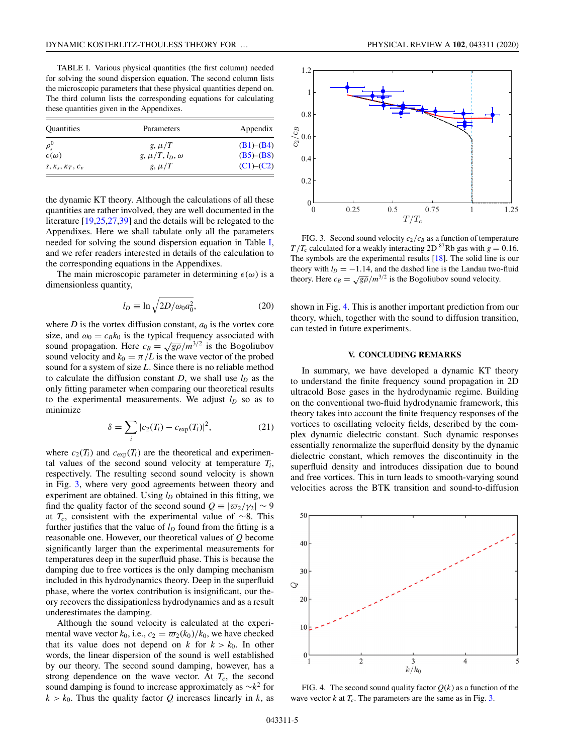<span id="page-4-0"></span>TABLE I. Various physical quantities (the first column) needed for solving the sound dispersion equation. The second column lists the microscopic parameters that these physical quantities depend on. The third column lists the corresponding equations for calculating these quantities given in the Appendixes.

| Quantities         | Parameters              | Appendix        |
|--------------------|-------------------------|-----------------|
| $\rho_s^0$         | g, $\mu/T$              | $(B1)$ – $(B4)$ |
| $\epsilon(\omega)$ | $g, \mu/T, l_D, \omega$ | $(B5)$ – $(B8)$ |
| $S, K_S, K_T, C_v$ | g, $\mu/T$              | $(C1)$ – $(C2)$ |

the dynamic KT theory. Although the calculations of all these quantities are rather involved, they are well documented in the literature [\[19,25,27,39\]](#page-7-0) and the details will be relegated to the Appendixes. Here we shall tabulate only all the parameters needed for solving the sound dispersion equation in Table I, and we refer readers interested in details of the calculation to the corresponding equations in the Appendixes.

The main microscopic parameter in determining  $\epsilon(\omega)$  is a dimensionless quantity,

$$
l_D \equiv \ln \sqrt{2D/\omega_0 a_0^2},\tag{20}
$$

where *D* is the vortex diffusion constant,  $a_0$  is the vortex core size, and  $\omega_0 = c_B k_0$  is the typical frequency associated with sound propagation. Here  $c_B = \sqrt{g\rho}/m^{3/2}$  is the Bogoliubov sound velocity and  $k_0 = \pi/L$  is the wave vector of the probed sound for a system of size *L*. Since there is no reliable method to calculate the diffusion constant *D*, we shall use  $l<sub>D</sub>$  as the only fitting parameter when comparing our theoretical results to the experimental measurements. We adjust  $l<sub>D</sub>$  so as to minimize

$$
\delta = \sum_{i} |c_2(T_i) - c_{\exp}(T_i)|^2, \tag{21}
$$

where  $c_2(T_i)$  and  $c_{exp}(T_i)$  are the theoretical and experimental values of the second sound velocity at temperature  $T_i$ , respectively. The resulting second sound velocity is shown in Fig. 3, where very good agreements between theory and experiment are obtained. Using  $l<sub>D</sub>$  obtained in this fitting, we find the quality factor of the second sound  $Q = |\varpi_2/\gamma_2| \sim 9$ at *Tc*, consistent with the experimental value of ∼8. This further justifies that the value of  $l<sub>D</sub>$  found from the fitting is a reasonable one. However, our theoretical values of *Q* become significantly larger than the experimental measurements for temperatures deep in the superfluid phase. This is because the damping due to free vortices is the only damping mechanism included in this hydrodynamics theory. Deep in the superfluid phase, where the vortex contribution is insignificant, our theory recovers the dissipationless hydrodynamics and as a result underestimates the damping.

Although the sound velocity is calculated at the experimental wave vector  $k_0$ , i.e.,  $c_2 = \frac{\omega_2(k_0)}{k_0}$ , we have checked that its value does not depend on  $k$  for  $k > k_0$ . In other words, the linear dispersion of the sound is well established by our theory. The second sound damping, however, has a strong dependence on the wave vector. At  $T_c$ , the second sound damping is found to increase approximately as ∼*k*<sup>2</sup> for  $k > k_0$ . Thus the quality factor Q increases linearly in *k*, as



FIG. 3. Second sound velocity  $c_2/c_B$  as a function of temperature  $T/T_c$  calculated for a weakly interacting 2D <sup>87</sup>Rb gas with  $g = 0.16$ . The symbols are the experimental results [\[18\]](#page-7-0). The solid line is our theory with  $l_D = -1.14$ , and the dashed line is the Landau two-fluid theory. Here  $c_B = \sqrt{g\rho}/m^{3/2}$  is the Bogoliubov sound velocity.

shown in Fig. 4. This is another important prediction from our theory, which, together with the sound to diffusion transition, can tested in future experiments.

## **V. CONCLUDING REMARKS**

In summary, we have developed a dynamic KT theory to understand the finite frequency sound propagation in 2D ultracold Bose gases in the hydrodynamic regime. Building on the conventional two-fluid hydrodynamic framework, this theory takes into account the finite frequency responses of the vortices to oscillating velocity fields, described by the complex dynamic dielectric constant. Such dynamic responses essentially renormalize the superfluid density by the dynamic dielectric constant, which removes the discontinuity in the superfluid density and introduces dissipation due to bound and free vortices. This in turn leads to smooth-varying sound velocities across the BTK transition and sound-to-diffusion



FIG. 4. The second sound quality factor  $Q(k)$  as a function of the wave vector  $k$  at  $T_c$ . The parameters are the same as in Fig. 3.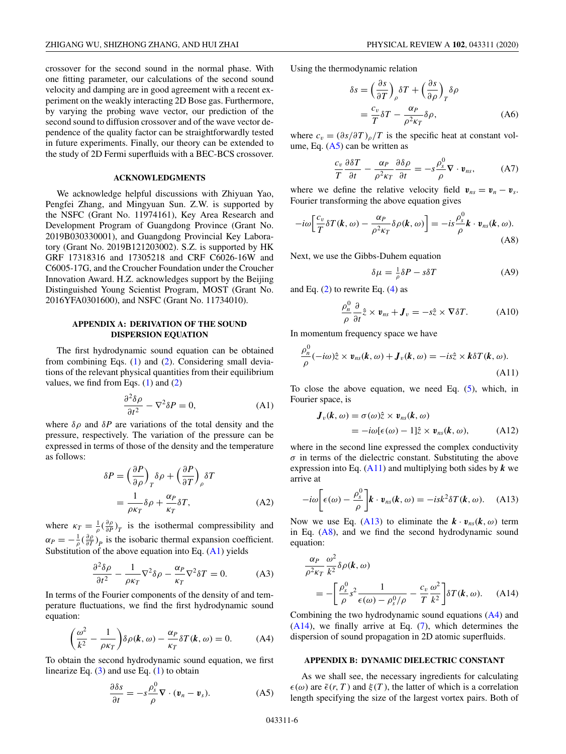<span id="page-5-0"></span>crossover for the second sound in the normal phase. With one fitting parameter, our calculations of the second sound velocity and damping are in good agreement with a recent experiment on the weakly interacting 2D Bose gas. Furthermore, by varying the probing wave vector, our prediction of the second sound to diffusion crossover and of the wave vector dependence of the quality factor can be straightforwardly tested in future experiments. Finally, our theory can be extended to the study of 2D Fermi superfluids with a BEC-BCS crossover.

### **ACKNOWLEDGMENTS**

We acknowledge helpful discussions with Zhiyuan Yao, Pengfei Zhang, and Mingyuan Sun. Z.W. is supported by the NSFC (Grant No. 11974161), Key Area Research and Development Program of Guangdong Province (Grant No. 2019B030330001), and Guangdong Provincial Key Laboratory (Grant No. 2019B121203002). S.Z. is supported by HK GRF 17318316 and 17305218 and CRF C6026-16W and C6005-17G, and the Croucher Foundation under the Croucher Innovation Award. H.Z. acknowledges support by the Beijing Distinguished Young Scientist Program, MOST (Grant No. 2016YFA0301600), and NSFC (Grant No. 11734010).

## **APPENDIX A: DERIVATION OF THE SOUND DISPERSION EQUATION**

The first hydrodynamic sound equation can be obtained from combining Eqs.  $(1)$  and  $(2)$ . Considering small deviations of the relevant physical quantities from their equilibrium values, we find from Eqs.  $(1)$  and  $(2)$ 

$$
\frac{\partial^2 \delta \rho}{\partial t^2} - \nabla^2 \delta P = 0,
$$
 (A1)

where  $\delta \rho$  and  $\delta P$  are variations of the total density and the pressure, respectively. The variation of the pressure can be expressed in terms of those of the density and the temperature as follows:

$$
\delta P = \left(\frac{\partial P}{\partial \rho}\right)_T \delta \rho + \left(\frac{\partial P}{\partial T}\right)_\rho \delta T
$$

$$
= \frac{1}{\rho \kappa_T} \delta \rho + \frac{\alpha_P}{\kappa_T} \delta T,\tag{A2}
$$

where  $\kappa_T = \frac{1}{\rho} \left( \frac{\partial \rho}{\partial P} \right)_T$  is the isothermal compressibility and  $\alpha_P = -\frac{1}{\rho} \left( \frac{\partial \rho}{\partial T} \right)_P$  is the isobaric thermal expansion coefficient. Substitution of the above equation into Eq.  $(A1)$  yields

$$
\frac{\partial^2 \delta \rho}{\partial t^2} - \frac{1}{\rho \kappa_T} \nabla^2 \delta \rho - \frac{\alpha_P}{\kappa_T} \nabla^2 \delta T = 0.
$$
 (A3)

In terms of the Fourier components of the density of and temperature fluctuations, we find the first hydrodynamic sound equation:

$$
\left(\frac{\omega^2}{k^2} - \frac{1}{\rho \kappa_T}\right) \delta \rho(\mathbf{k}, \omega) - \frac{\alpha_P}{\kappa_T} \delta T(\mathbf{k}, \omega) = 0.
$$
 (A4)

To obtain the second hydrodynamic sound equation, we first linearize Eq.  $(3)$  and use Eq.  $(1)$  to obtain

$$
\frac{\partial \delta s}{\partial t} = -s \frac{\rho_s^0}{\rho} \nabla \cdot (\mathbf{v}_n - \mathbf{v}_s). \tag{A5}
$$

Using the thermodynamic relation

$$
\delta s = \left(\frac{\partial s}{\partial T}\right)_{\rho} \delta T + \left(\frac{\partial s}{\partial \rho}\right)_{T} \delta \rho
$$
  
=  $\frac{c_v}{T} \delta T - \frac{\alpha_P}{\rho^2 \kappa T} \delta \rho,$  (A6)

where  $c_v = (\partial s/\partial T)_{\rho}/T$  is the specific heat at constant volume, Eq.  $(A5)$  can be written as

$$
\frac{c_v}{T} \frac{\partial \delta T}{\partial t} - \frac{\alpha_P}{\rho^2 \kappa_T} \frac{\partial \delta \rho}{\partial t} = -s \frac{\rho_s^0}{\rho} \nabla \cdot \mathbf{v}_{ns}, \tag{A7}
$$

where we define the relative velocity field  $v_{ns} = v_n - v_s$ . Fourier transforming the above equation gives

$$
-i\omega \left[\frac{c_v}{T} \delta T(\boldsymbol{k}, \omega) - \frac{\alpha_P}{\rho^2 \kappa_T} \delta \rho(\boldsymbol{k}, \omega)\right] = -is \frac{\rho_s^0}{\rho} \boldsymbol{k} \cdot \boldsymbol{v}_{ns}(\boldsymbol{k}, \omega).
$$
(A8)

Next, we use the Gibbs-Duhem equation

$$
\delta \mu = \frac{1}{\rho} \delta P - s \delta T \tag{A9}
$$

and Eq.  $(2)$  to rewrite Eq.  $(4)$  as

$$
\frac{\rho_n^0}{\rho} \frac{\partial}{\partial t} \hat{z} \times \boldsymbol{v}_{ns} + \boldsymbol{J}_v = -s\hat{z} \times \nabla \delta T.
$$
 (A10)

In momentum frequency space we have

$$
\frac{\rho_n^0}{\rho}(-i\omega)\hat{z}\times\mathbf{v}_{ns}(k,\omega)+\mathbf{J}_v(k,\omega)=-is\hat{z}\times k\delta T(k,\omega).
$$
\n(A11)

To close the above equation, we need Eq. [\(5\)](#page-1-0), which, in Fourier space, is

$$
\begin{aligned} \mathbf{J}_v(\mathbf{k}, \omega) &= \sigma(\omega)\hat{z} \times \mathbf{v}_{ns}(\mathbf{k}, \omega) \\ &= -i\omega[\epsilon(\omega) - 1]\hat{z} \times \mathbf{v}_{ns}(\mathbf{k}, \omega), \end{aligned} \tag{A12}
$$

where in the second line expressed the complex conductivity  $\sigma$  in terms of the dielectric constant. Substituting the above expression into Eq.  $(A11)$  and multiplying both sides by  $k$  we arrive at

$$
-i\omega \bigg[\epsilon(\omega) - \frac{\rho_s^0}{\rho}\bigg] \pmb{k} \cdot \pmb{v}_{ns}(\pmb{k}, \omega) = -isk^2 \delta T(\pmb{k}, \omega). \quad \text{(A13)}
$$

Now we use Eq. (A13) to eliminate the  $\mathbf{k} \cdot \mathbf{v}_{ns}(\mathbf{k}, \omega)$  term in Eq.  $(A8)$ , and we find the second hydrodynamic sound equation:

$$
\frac{\alpha_P}{\rho^2 \kappa_T} \frac{\omega^2}{k^2} \delta \rho(\mathbf{k}, \omega)
$$
  
= 
$$
- \left[ \frac{\rho_s^0}{\rho} s^2 \frac{1}{\epsilon(\omega) - \rho_s^0 / \rho} - \frac{c_v}{T} \frac{\omega^2}{k^2} \right] \delta T(\mathbf{k}, \omega).
$$
 (A14)

Combining the two hydrodynamic sound equations (A4) and (A14), we finally arrive at Eq. [\(7\)](#page-1-0), which determines the dispersion of sound propagation in 2D atomic superfluids.

### **APPENDIX B: DYNAMIC DIELECTRIC CONSTANT**

As we shall see, the necessary ingredients for calculating  $\epsilon(\omega)$  are  $\tilde{\epsilon}(r, T)$  and  $\xi(T)$ , the latter of which is a correlation length specifying the size of the largest vortex pairs. Both of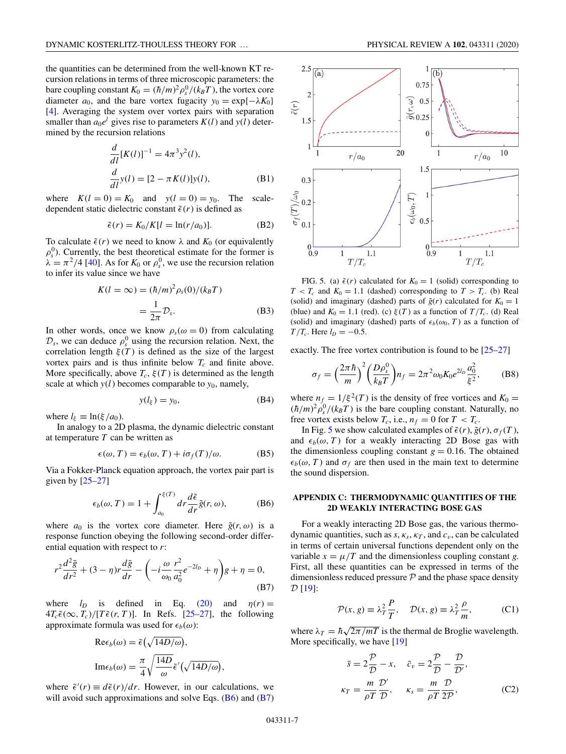<span id="page-6-0"></span>the quantities can be determined from the well-known KT recursion relations in terms of three microscopic parameters: the bare coupling constant  $K_0 = (\hbar/m)^2 \rho_s^0/ (k_B T)$ , the vortex core diameter  $a_0$ , and the bare vortex fugacity  $y_0 = \exp\{-\lambda K_0\}$ [\[4\]](#page-7-0). Averaging the system over vortex pairs with separation smaller than  $a_0e^l$  gives rise to parameters  $K(l)$  and  $y(l)$  determined by the recursion relations

$$
\frac{d}{dl}[K(l)]^{-1} = 4\pi^3 y^2(l),
$$
  

$$
\frac{d}{dl}y(l) = [2 - \pi K(l)]y(l),
$$
 (B1)

where  $K(l = 0) = K_0$  and  $y(l = 0) = y_0$ . The scaledependent static dielectric constant  $\tilde{\epsilon}(r)$  is defined as

$$
\tilde{\epsilon}(r) = K_0/K[l = \ln(r/a_0)].
$$
 (B2)

To calculate  $\tilde{\epsilon}(r)$  we need to know  $\lambda$  and  $K_0$  (or equivalently  $\rho_s^0$ ). Currently, the best theoretical estimate for the former is  $\lambda = \pi^2/4$  [\[40\]](#page-7-0). As for  $K_0$  or  $\rho_s^0$ , we use the recursion relation to infer its value since we have

$$
K(l = \infty) = (\hbar/m)^2 \rho_s(0)/(k_B T)
$$

$$
= \frac{1}{2\pi} \mathcal{D}_s.
$$
(B3)

In other words, once we know  $\rho_s(\omega = 0)$  from calculating  $\mathcal{D}_s$ , we can deduce  $\rho_s^0$  using the recursion relation. Next, the correlation length  $\xi(T)$  is defined as the size of the largest vortex pairs and is thus infinite below  $T_c$  and finite above. More specifically, above  $T_c$ ,  $\xi(T)$  is determined as the length scale at which  $y(l)$  becomes comparable to  $y_0$ , namely,

$$
y(l_{\xi}) = y_0,\tag{B4}
$$

where  $l_{\xi} \equiv \ln(\xi/a_0)$ .

In analogy to a 2D plasma, the dynamic dielectric constant at temperature *T* can be written as

$$
\epsilon(\omega, T) = \epsilon_b(\omega, T) + i\sigma_f(T)/\omega.
$$
 (B5)

Via a Fokker-Planck equation approach, the vortex pair part is given by  $[25-27]$ 

$$
\epsilon_b(\omega, T) = 1 + \int_{a_0}^{\xi(T)} dr \frac{d\tilde{\epsilon}}{dr} \tilde{g}(r, \omega),
$$
 (B6)

where  $a_0$  is the vortex core diameter. Here  $\tilde{g}(r,\omega)$  is a response function obeying the following second-order differential equation with respect to *r*:

$$
r^{2} \frac{d^{2} \tilde{g}}{dr^{2}} + (3 - \eta) r \frac{d \tilde{g}}{dr} - \left( -i \frac{\omega}{\omega_{0}} \frac{r^{2}}{a_{0}^{2}} e^{-2l_{D}} + \eta \right) g + \eta = 0,
$$
\n(B7)

where  $l_D$  is defined in Eq. [\(20\)](#page-4-0) and  $\eta(r) =$  $4T_c\tilde{\epsilon}(\infty, T_c)/[T\tilde{\epsilon}(r, T)]$ . In Refs. [\[25–27\]](#page-7-0), the following approximate formula was used for  $\epsilon_b(\omega)$ :

$$
\text{Re}\epsilon_b(\omega) = \tilde{\epsilon}(\sqrt{14D/\omega}),
$$
  
\n
$$
\text{Im}\epsilon_b(\omega) = \frac{\pi}{4} \sqrt{\frac{14D}{\omega}} \tilde{\epsilon}'(\sqrt{14D/\omega}),
$$

where  $\tilde{\epsilon}'(r) \equiv d\tilde{\epsilon}(r)/dr$ . However, in our calculations, we will avoid such approximations and solve Eqs.  $(B6)$  and  $(B7)$ 



FIG. 5. (a)  $\tilde{\epsilon}(r)$  calculated for  $K_0 = 1$  (solid) corresponding to  $T < T_c$  and  $K_0 = 1.1$  (dashed) corresponding to  $T > T_c$ . (b) Real (solid) and imaginary (dashed) parts of  $\tilde{g}(r)$  calculated for  $K_0 = 1$ (blue) and  $K_0 = 1.1$  (red). (c)  $\xi(T)$  as a function of  $T/T_c$ . (d) Real (solid) and imaginary (dashed) parts of  $\epsilon_b(\omega_0, T)$  as a function of *T*/*T<sub>c</sub>*. Here  $l_p = -0.5$ .

exactly. The free vortex contribution is found to be [\[25–27\]](#page-7-0)

$$
\sigma_f = \left(\frac{2\pi\hbar}{m}\right)^2 \left(\frac{D\rho_s^0}{k_B T}\right) n_f = 2\pi^2 \omega_0 K_0 e^{2l\rho} \frac{a_0^2}{\xi^2},\tag{B8}
$$

where  $n_f = 1/\xi^2(T)$  is the density of free vortices and  $K_0 =$  $(\hbar/m)^2 \rho_s^0/(k_B T)$  is the bare coupling constant. Naturally, no free vortex exists below  $T_c$ , i.e.,  $n_f = 0$  for  $T < T_c$ .

In Fig. 5 we show calculated examples of  $\tilde{\epsilon}(r)$ ,  $\tilde{g}(r)$ ,  $\sigma_f(T)$ , and  $\epsilon_b(\omega, T)$  for a weakly interacting 2D Bose gas with the dimensionless coupling constant  $g = 0.16$ . The obtained  $\epsilon_b(\omega, T)$  and  $\sigma_f$  are then used in the main text to determine the sound dispersion.

# **APPENDIX C: THERMODYNAMIC QUANTITIES OF THE 2D WEAKLY INTERACTING BOSE GAS**

For a weakly interacting 2D Bose gas, the various thermodynamic quantities, such as  $s, \kappa_s, \kappa_T$ , and  $c_v$ , can be calculated in terms of certain universal functions dependent only on the variable  $x = \mu/T$  and the dimensionless coupling constant *g*. First, all these quantities can be expressed in terms of the dimensionless reduced pressure  $P$  and the phase space density  $D [19]$  $D [19]$ :

$$
\mathcal{P}(x, g) \equiv \lambda_T^2 \frac{P}{T}, \quad \mathcal{D}(x, g) \equiv \lambda_T^2 \frac{\rho}{m}, \quad (C1)
$$

where  $\lambda_T = \hbar \sqrt{2\pi/mT}$  is the thermal de Broglie wavelength. More specifically, we have [\[19\]](#page-7-0)

$$
\bar{s} = 2\frac{\mathcal{P}}{\mathcal{D}} - x, \quad \bar{c}_v = 2\frac{\mathcal{P}}{\mathcal{D}} - \frac{\mathcal{D}}{\mathcal{D}'},
$$

$$
\kappa_T = \frac{m}{\rho T} \frac{\mathcal{D}'}{\mathcal{D}}, \quad \kappa_s = \frac{m}{\rho T} \frac{\mathcal{D}}{2\mathcal{P}}, \tag{C2}
$$